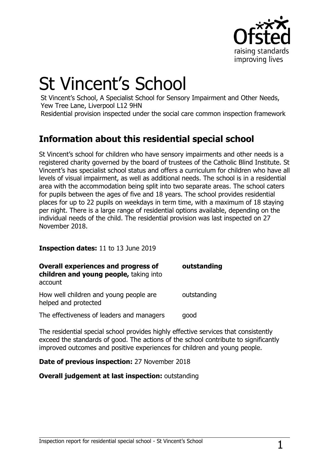

# St Vincent's School

St Vincent's School, A Specialist School for Sensory Impairment and Other Needs, Yew Tree Lane, Liverpool L12 9HN

Residential provision inspected under the social care common inspection framework

## **Information about this residential special school**

St Vincent's school for children who have sensory impairments and other needs is a registered charity governed by the board of trustees of the Catholic Blind Institute. St Vincent's has specialist school status and offers a curriculum for children who have all levels of visual impairment, as well as additional needs. The school is in a residential area with the accommodation being split into two separate areas. The school caters for pupils between the ages of five and 18 years. The school provides residential places for up to 22 pupils on weekdays in term time, with a maximum of 18 staying per night. There is a large range of residential options available, depending on the individual needs of the child. The residential provision was last inspected on 27 November 2018.

#### **Inspection dates:** 11 to 13 June 2019

| <b>Overall experiences and progress of</b><br>children and young people, taking into<br>account | outstanding |
|-------------------------------------------------------------------------------------------------|-------------|
| How well children and young people are<br>helped and protected                                  | outstanding |
| The effectiveness of leaders and managers                                                       | good        |

The residential special school provides highly effective services that consistently exceed the standards of good. The actions of the school contribute to significantly improved outcomes and positive experiences for children and young people.

#### **Date of previous inspection:** 27 November 2018

#### **Overall judgement at last inspection:** outstanding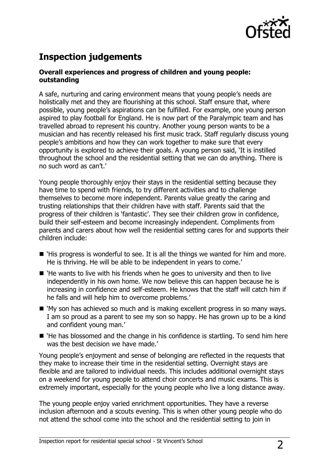

# **Inspection judgements**

#### **Overall experiences and progress of children and young people: outstanding**

A safe, nurturing and caring environment means that young people's needs are holistically met and they are flourishing at this school. Staff ensure that, where possible, young people's aspirations can be fulfilled. For example, one young person aspired to play football for England. He is now part of the Paralympic team and has travelled abroad to represent his country. Another young person wants to be a musician and has recently released his first music track. Staff regularly discuss young people's ambitions and how they can work together to make sure that every opportunity is explored to achieve their goals. A young person said, 'It is instilled throughout the school and the residential setting that we can do anything. There is no such word as can't.'

Young people thoroughly enjoy their stays in the residential setting because they have time to spend with friends, to try different activities and to challenge themselves to become more independent. Parents value greatly the caring and trusting relationships that their children have with staff. Parents said that the progress of their children is 'fantastic'. They see their children grow in confidence, build their self-esteem and become increasingly independent. Compliments from parents and carers about how well the residential setting cares for and supports their children include:

- `His progress is wonderful to see. It is all the things we wanted for him and more. He is thriving. He will be able to be independent in years to come.'
- `He wants to live with his friends when he goes to university and then to live independently in his own home. We now believe this can happen because he is increasing in confidence and self-esteem. He knows that the staff will catch him if he falls and will help him to overcome problems.'
- 'My son has achieved so much and is making excellent progress in so many ways. I am so proud as a parent to see my son so happy. He has grown up to be a kind and confident young man.'
- `He has blossomed and the change in his confidence is startling. To send him here was the best decision we have made.'

Young people's enjoyment and sense of belonging are reflected in the requests that they make to increase their time in the residential setting. Overnight stays are flexible and are tailored to individual needs. This includes additional overnight stays on a weekend for young people to attend choir concerts and music exams. This is extremely important, especially for the young people who live a long distance away.

The young people enjoy varied enrichment opportunities. They have a reverse inclusion afternoon and a scouts evening. This is when other young people who do not attend the school come into the school and the residential setting to join in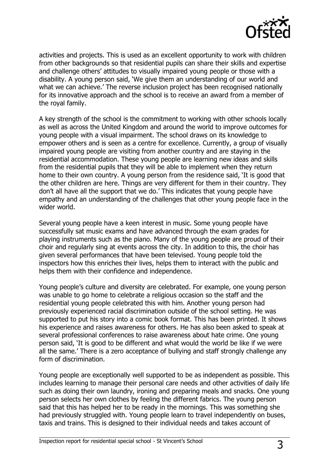

activities and projects. This is used as an excellent opportunity to work with children from other backgrounds so that residential pupils can share their skills and expertise and challenge others' attitudes to visually impaired young people or those with a disability. A young person said, 'We give them an understanding of our world and what we can achieve.' The reverse inclusion project has been recognised nationally for its innovative approach and the school is to receive an award from a member of the royal family.

A key strength of the school is the commitment to working with other schools locally as well as across the United Kingdom and around the world to improve outcomes for young people with a visual impairment. The school draws on its knowledge to empower others and is seen as a centre for excellence. Currently, a group of visually impaired young people are visiting from another country and are staying in the residential accommodation. These young people are learning new ideas and skills from the residential pupils that they will be able to implement when they return home to their own country. A young person from the residence said, 'It is good that the other children are here. Things are very different for them in their country. They don't all have all the support that we do.' This indicates that young people have empathy and an understanding of the challenges that other young people face in the wider world.

Several young people have a keen interest in music. Some young people have successfully sat music exams and have advanced through the exam grades for playing instruments such as the piano. Many of the young people are proud of their choir and regularly sing at events across the city. In addition to this, the choir has given several performances that have been televised. Young people told the inspectors how this enriches their lives, helps them to interact with the public and helps them with their confidence and independence.

Young people's culture and diversity are celebrated. For example, one young person was unable to go home to celebrate a religious occasion so the staff and the residential young people celebrated this with him. Another young person had previously experienced racial discrimination outside of the school setting. He was supported to put his story into a comic book format. This has been printed. It shows his experience and raises awareness for others. He has also been asked to speak at several professional conferences to raise awareness about hate crime. One young person said, 'It is good to be different and what would the world be like if we were all the same.' There is a zero acceptance of bullying and staff strongly challenge any form of discrimination.

Young people are exceptionally well supported to be as independent as possible. This includes learning to manage their personal care needs and other activities of daily life such as doing their own laundry, ironing and preparing meals and snacks. One young person selects her own clothes by feeling the different fabrics. The young person said that this has helped her to be ready in the mornings. This was something she had previously struggled with. Young people learn to travel independently on buses, taxis and trains. This is designed to their individual needs and takes account of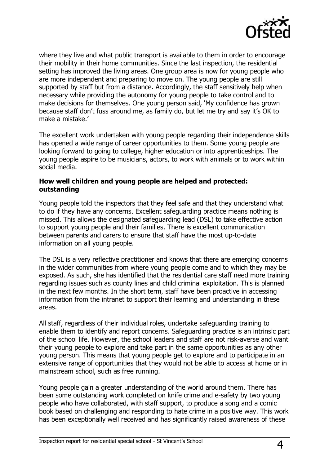

where they live and what public transport is available to them in order to encourage their mobility in their home communities. Since the last inspection, the residential setting has improved the living areas. One group area is now for young people who are more independent and preparing to move on. The young people are still supported by staff but from a distance. Accordingly, the staff sensitively help when necessary while providing the autonomy for young people to take control and to make decisions for themselves. One young person said, 'My confidence has grown because staff don't fuss around me, as family do, but let me try and say it's OK to make a mistake.'

The excellent work undertaken with young people regarding their independence skills has opened a wide range of career opportunities to them. Some young people are looking forward to going to college, higher education or into apprenticeships. The young people aspire to be musicians, actors, to work with animals or to work within social media.

#### **How well children and young people are helped and protected: outstanding**

Young people told the inspectors that they feel safe and that they understand what to do if they have any concerns. Excellent safeguarding practice means nothing is missed. This allows the designated safeguarding lead (DSL) to take effective action to support young people and their families. There is excellent communication between parents and carers to ensure that staff have the most up-to-date information on all young people.

The DSL is a very reflective practitioner and knows that there are emerging concerns in the wider communities from where young people come and to which they may be exposed. As such, she has identified that the residential care staff need more training regarding issues such as county lines and child criminal exploitation. This is planned in the next few months. In the short term, staff have been proactive in accessing information from the intranet to support their learning and understanding in these areas.

All staff, regardless of their individual roles, undertake safeguarding training to enable them to identify and report concerns. Safeguarding practice is an intrinsic part of the school life. However, the school leaders and staff are not risk-averse and want their young people to explore and take part in the same opportunities as any other young person. This means that young people get to explore and to participate in an extensive range of opportunities that they would not be able to access at home or in mainstream school, such as free running.

Young people gain a greater understanding of the world around them. There has been some outstanding work completed on knife crime and e-safety by two young people who have collaborated, with staff support, to produce a song and a comic book based on challenging and responding to hate crime in a positive way. This work has been exceptionally well received and has significantly raised awareness of these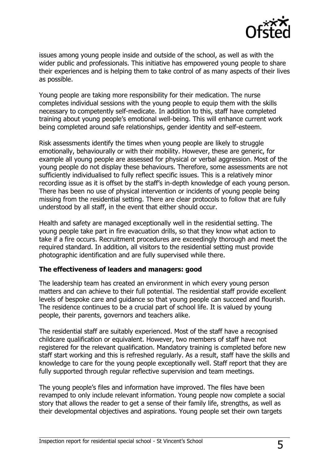

issues among young people inside and outside of the school, as well as with the wider public and professionals. This initiative has empowered young people to share their experiences and is helping them to take control of as many aspects of their lives as possible.

Young people are taking more responsibility for their medication. The nurse completes individual sessions with the young people to equip them with the skills necessary to competently self-medicate. In addition to this, staff have completed training about young people's emotional well-being. This will enhance current work being completed around safe relationships, gender identity and self-esteem.

Risk assessments identify the times when young people are likely to struggle emotionally, behaviourally or with their mobility. However, these are generic, for example all young people are assessed for physical or verbal aggression. Most of the young people do not display these behaviours. Therefore, some assessments are not sufficiently individualised to fully reflect specific issues. This is a relatively minor recording issue as it is offset by the staff's in-depth knowledge of each young person. There has been no use of physical intervention or incidents of young people being missing from the residential setting. There are clear protocols to follow that are fully understood by all staff, in the event that either should occur.

Health and safety are managed exceptionally well in the residential setting. The young people take part in fire evacuation drills, so that they know what action to take if a fire occurs. Recruitment procedures are exceedingly thorough and meet the required standard. In addition, all visitors to the residential setting must provide photographic identification and are fully supervised while there.

#### **The effectiveness of leaders and managers: good**

The leadership team has created an environment in which every young person matters and can achieve to their full potential. The residential staff provide excellent levels of bespoke care and guidance so that young people can succeed and flourish. The residence continues to be a crucial part of school life. It is valued by young people, their parents, governors and teachers alike.

The residential staff are suitably experienced. Most of the staff have a recognised childcare qualification or equivalent. However, two members of staff have not registered for the relevant qualification. Mandatory training is completed before new staff start working and this is refreshed regularly. As a result, staff have the skills and knowledge to care for the young people exceptionally well. Staff report that they are fully supported through regular reflective supervision and team meetings.

The young people's files and information have improved. The files have been revamped to only include relevant information. Young people now complete a social story that allows the reader to get a sense of their family life, strengths, as well as their developmental objectives and aspirations. Young people set their own targets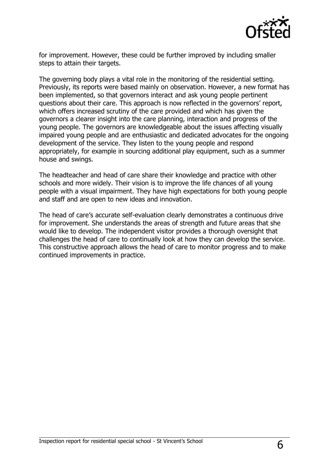

for improvement. However, these could be further improved by including smaller steps to attain their targets.

The governing body plays a vital role in the monitoring of the residential setting. Previously, its reports were based mainly on observation. However, a new format has been implemented, so that governors interact and ask young people pertinent questions about their care. This approach is now reflected in the governors' report, which offers increased scrutiny of the care provided and which has given the governors a clearer insight into the care planning, interaction and progress of the young people. The governors are knowledgeable about the issues affecting visually impaired young people and are enthusiastic and dedicated advocates for the ongoing development of the service. They listen to the young people and respond appropriately, for example in sourcing additional play equipment, such as a summer house and swings.

The headteacher and head of care share their knowledge and practice with other schools and more widely. Their vision is to improve the life chances of all young people with a visual impairment. They have high expectations for both young people and staff and are open to new ideas and innovation.

The head of care's accurate self-evaluation clearly demonstrates a continuous drive for improvement. She understands the areas of strength and future areas that she would like to develop. The independent visitor provides a thorough oversight that challenges the head of care to continually look at how they can develop the service. This constructive approach allows the head of care to monitor progress and to make continued improvements in practice.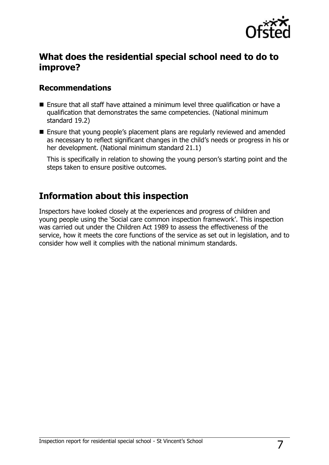

## **What does the residential special school need to do to improve?**

#### **Recommendations**

- Ensure that all staff have attained a minimum level three qualification or have a qualification that demonstrates the same competencies. (National minimum standard 19.2)
- Ensure that young people's placement plans are regularly reviewed and amended as necessary to reflect significant changes in the child's needs or progress in his or her development. (National minimum standard 21.1)

This is specifically in relation to showing the young person's starting point and the steps taken to ensure positive outcomes.

## **Information about this inspection**

Inspectors have looked closely at the experiences and progress of children and young people using the 'Social care common inspection framework'. This inspection was carried out under the Children Act 1989 to assess the effectiveness of the service, how it meets the core functions of the service as set out in legislation, and to consider how well it complies with the national minimum standards.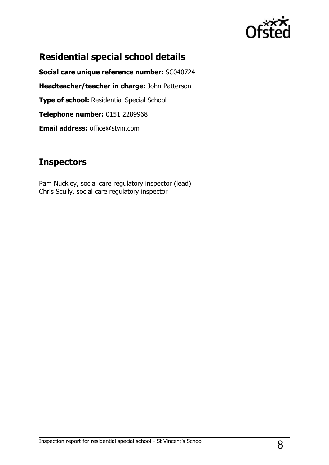

# **Residential special school details**

**Social care unique reference number:** SC040724 **Headteacher/teacher in charge:** John Patterson **Type of school:** Residential Special School **Telephone number:** 0151 2289968 **Email address:** office@stvin.com

## **Inspectors**

Pam Nuckley, social care regulatory inspector (lead) Chris Scully, social care regulatory inspector